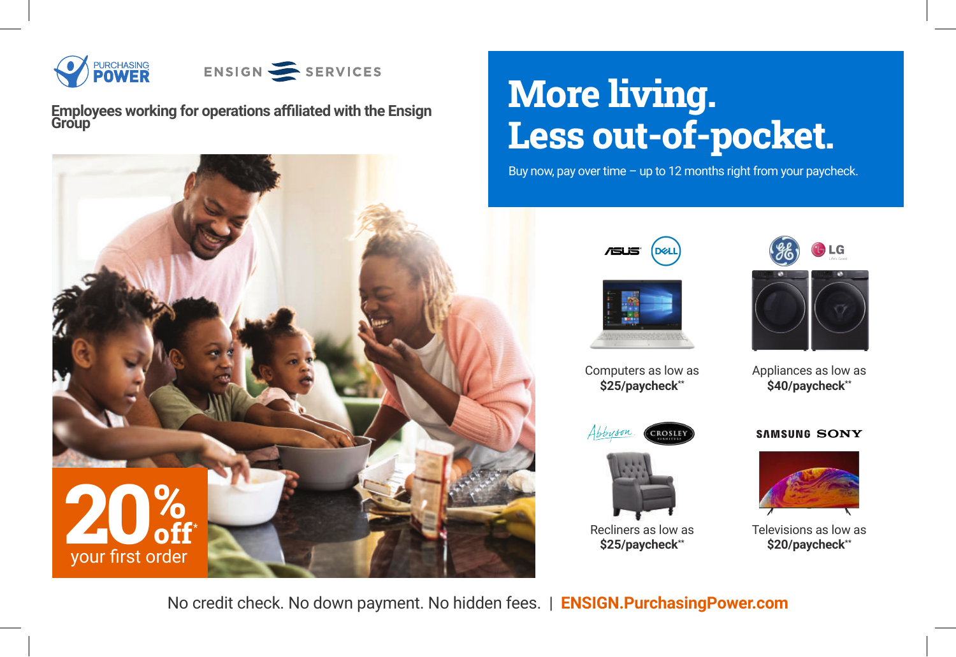

ENSIGN SERVICES

**Employees working for operations affiliated with the Ensign Group**



## **More living. Less out-of-pocket.**

Buy now, pay over time – up to 12 months right from your paycheck.







Appliances as low as **\$40/paycheck\*\***



Computers as low as **\$25/paycheck\*\***



Recliners as low as **\$25/paycheck\*\***





Televisions as low as

No credit check. No down payment. No hidden fees. | **ENSIGN.PurchasingPower.com**